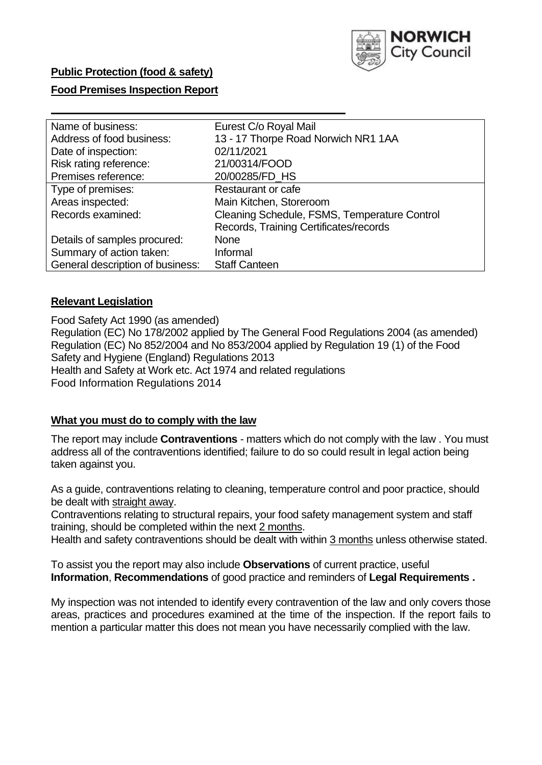

# **Public Protection (food & safety)**

# **Food Premises Inspection Report**

| Name of business:                | Eurest C/o Royal Mail                        |
|----------------------------------|----------------------------------------------|
| Address of food business:        | 13 - 17 Thorpe Road Norwich NR1 1AA          |
| Date of inspection:              | 02/11/2021                                   |
| Risk rating reference:           | 21/00314/FOOD                                |
| Premises reference:              | 20/00285/FD HS                               |
| Type of premises:                | <b>Restaurant or cafe</b>                    |
| Areas inspected:                 | Main Kitchen, Storeroom                      |
| Records examined:                | Cleaning Schedule, FSMS, Temperature Control |
|                                  | Records, Training Certificates/records       |
| Details of samples procured:     | <b>None</b>                                  |
| Summary of action taken:         | Informal                                     |
| General description of business: | <b>Staff Canteen</b>                         |

# **Relevant Legislation**

 Food Safety Act 1990 (as amended) Regulation (EC) No 178/2002 applied by The General Food Regulations 2004 (as amended) Regulation (EC) No 852/2004 and No 853/2004 applied by Regulation 19 (1) of the Food Safety and Hygiene (England) Regulations 2013 Health and Safety at Work etc. Act 1974 and related regulations Food Information Regulations 2014

# **What you must do to comply with the law**

 The report may include **Contraventions** - matters which do not comply with the law . You must address all of the contraventions identified; failure to do so could result in legal action being taken against you.

 As a guide, contraventions relating to cleaning, temperature control and poor practice, should be dealt with straight away.

 Contraventions relating to structural repairs, your food safety management system and staff training, should be completed within the next 2 months.

Health and safety contraventions should be dealt with within 3 months unless otherwise stated.

 To assist you the report may also include **Observations** of current practice, useful **Information**, **Recommendations** of good practice and reminders of **Legal Requirements .** 

 My inspection was not intended to identify every contravention of the law and only covers those areas, practices and procedures examined at the time of the inspection. If the report fails to mention a particular matter this does not mean you have necessarily complied with the law.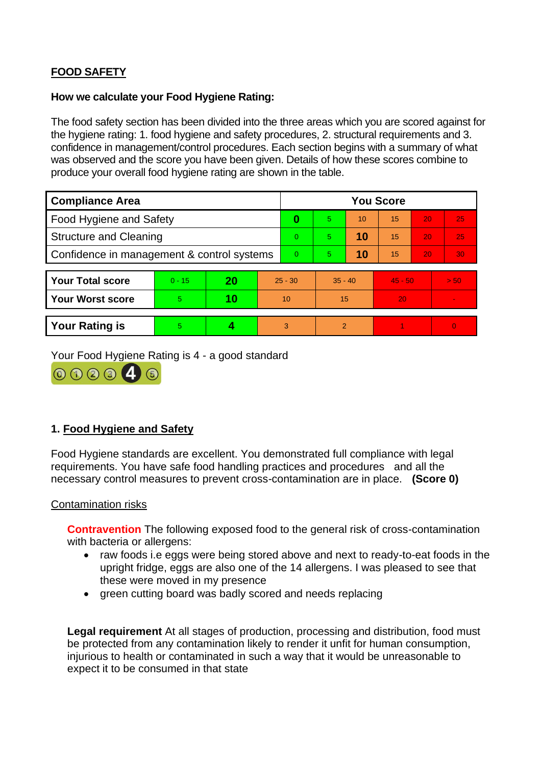# **FOOD SAFETY**

### **How we calculate your Food Hygiene Rating:**

 The food safety section has been divided into the three areas which you are scored against for the hygiene rating: 1. food hygiene and safety procedures, 2. structural requirements and 3. confidence in management/control procedures. Each section begins with a summary of what was observed and the score you have been given. Details of how these scores combine to produce your overall food hygiene rating are shown in the table.

| <b>Compliance Area</b>                     |          |    |                 | <b>You Score</b> |                |    |           |    |                |  |  |
|--------------------------------------------|----------|----|-----------------|------------------|----------------|----|-----------|----|----------------|--|--|
| Food Hygiene and Safety                    |          |    |                 | 0                | $\overline{5}$ | 10 | 15        | 20 | 25             |  |  |
| <b>Structure and Cleaning</b>              |          |    | $\Omega$        | 5.               | 10             | 15 | 20        | 25 |                |  |  |
| Confidence in management & control systems |          |    | $\Omega$        | 5                | 10             | 15 | 20        | 30 |                |  |  |
|                                            |          |    |                 |                  |                |    |           |    |                |  |  |
| <b>Your Total score</b>                    | $0 - 15$ | 20 | $25 - 30$       |                  | $35 - 40$      |    | $45 - 50$ |    | > 50           |  |  |
| <b>Your Worst score</b>                    | 5        | 10 | 10 <sup>°</sup> |                  | 15             |    | 20        |    | $\blacksquare$ |  |  |
|                                            |          |    |                 |                  |                |    |           |    |                |  |  |
| <b>Your Rating is</b>                      | 5        |    |                 | 3                | $\overline{2}$ |    |           |    | $\Omega$       |  |  |

Your Food Hygiene Rating is 4 - a good standard



# **1. Food Hygiene and Safety**

 requirements. You have safe food handling practices and procedures and all the Food Hygiene standards are excellent. You demonstrated full compliance with legal necessary control measures to prevent cross-contamination are in place. **(Score 0)** 

#### Contamination risks

 **Contravention** The following exposed food to the general risk of cross-contamination with bacteria or allergens:

- raw foods i.e eggs were being stored above and next to ready-to-eat foods in the upright fridge, eggs are also one of the 14 allergens. I was pleased to see that these were moved in my presence
- green cutting board was badly scored and needs replacing

 injurious to health or contaminated in such a way that it would be unreasonable to **Legal requirement** At all stages of production, processing and distribution, food must be protected from any contamination likely to render it unfit for human consumption, expect it to be consumed in that state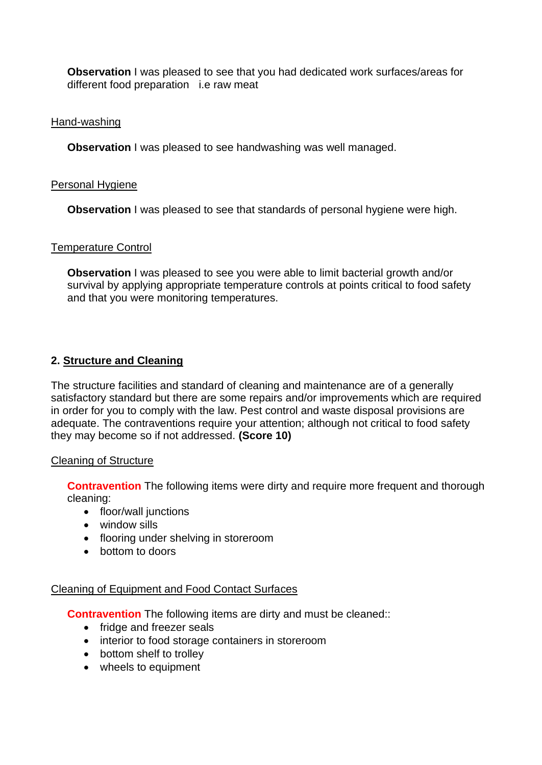different food preparation i.e raw meat **Observation** I was pleased to see that you had dedicated work surfaces/areas for

### Hand-washing

**Observation** I was pleased to see handwashing was well managed.

### Personal Hygiene

**Observation** I was pleased to see that standards of personal hygiene were high.

### Temperature Control

**Observation I** was pleased to see you were able to limit bacterial growth and/or survival by applying appropriate temperature controls at points critical to food safety and that you were monitoring temperatures.

# **2. Structure and Cleaning**

The structure facilities and standard of cleaning and maintenance are of a generally satisfactory standard but there are some repairs and/or improvements which are required in order for you to comply with the law. Pest control and waste disposal provisions are adequate. The contraventions require your attention; although not critical to food safety they may become so if not addressed. **(Score 10)** 

#### Cleaning of Structure

**Contravention** The following items were dirty and require more frequent and thorough cleaning:

- floor/wall junctions
- window sills
- flooring under shelving in storeroom
- bottom to doors

# Cleaning of Equipment and Food Contact Surfaces

**Contravention** The following items are dirty and must be cleaned::

- fridge and freezer seals
- interior to food storage containers in storeroom
- bottom shelf to trolley
- wheels to equipment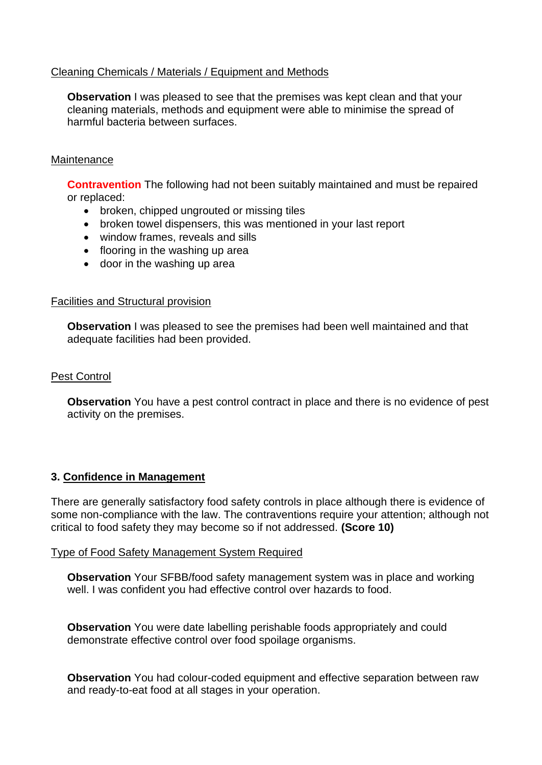# Cleaning Chemicals / Materials / Equipment and Methods

**Observation** I was pleased to see that the premises was kept clean and that your cleaning materials, methods and equipment were able to minimise the spread of harmful bacteria between surfaces.

### **Maintenance**

**Contravention** The following had not been suitably maintained and must be repaired or replaced:

- broken, chipped ungrouted or missing tiles
- broken towel dispensers, this was mentioned in your last report
- window frames, reveals and sills
- flooring in the washing up area
- door in the washing up area

### Facilities and Structural provision

 **Observation** I was pleased to see the premises had been well maintained and that adequate facilities had been provided.

# Pest Control

 **Observation** You have a pest control contract in place and there is no evidence of pest activity on the premises.

# **3. Confidence in Management**

 There are generally satisfactory food safety controls in place although there is evidence of some non-compliance with the law. The contraventions require your attention; although not critical to food safety they may become so if not addressed. **(Score 10)** 

#### Type of Food Safety Management System Required

**Observation** Your SFBB/food safety management system was in place and working well. I was confident you had effective control over hazards to food.

 demonstrate effective control over food spoilage organisms. **Observation** You were date labelling perishable foods appropriately and could

**Observation** You had colour-coded equipment and effective separation between raw and ready-to-eat food at all stages in your operation.